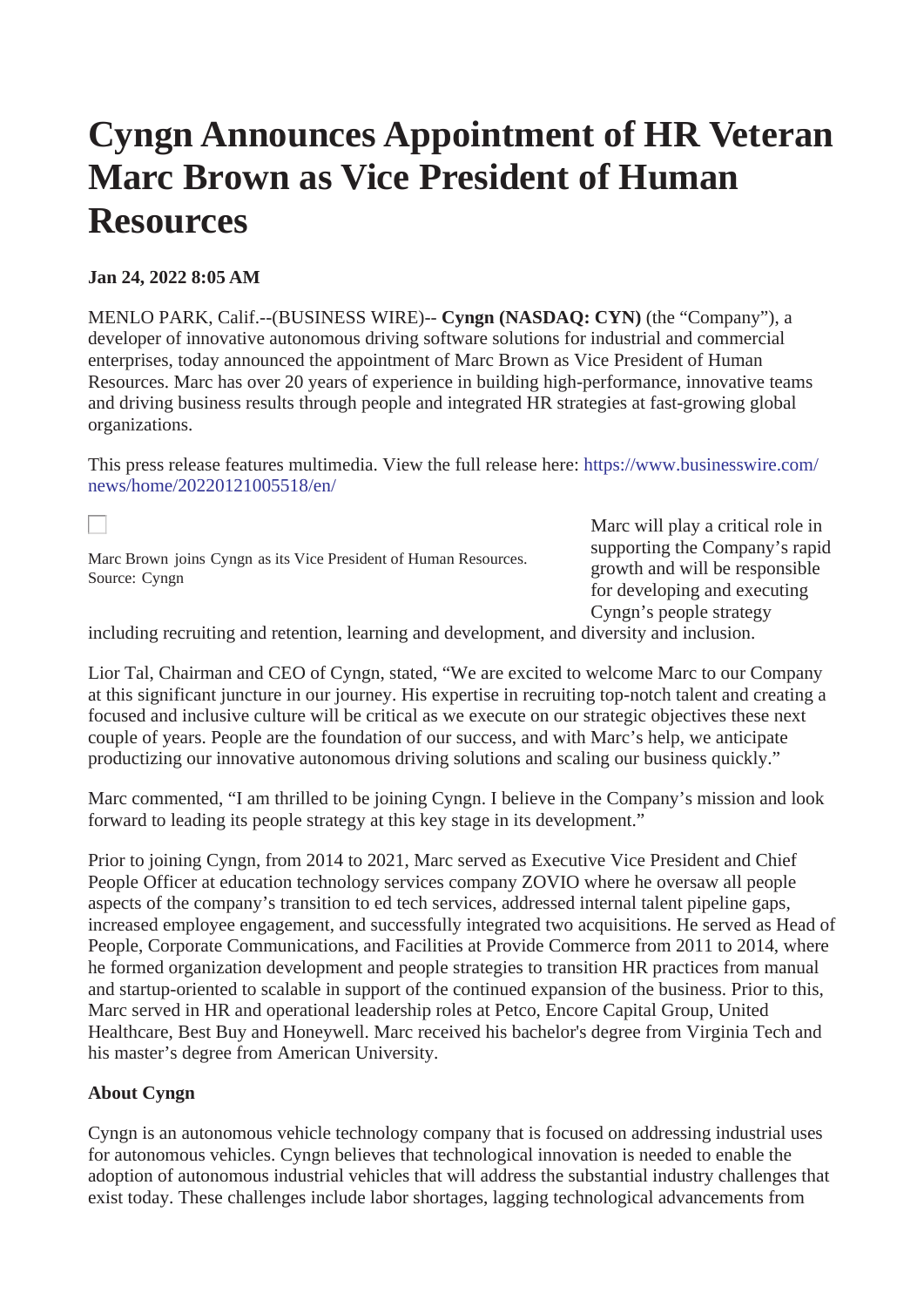## **Cyngn Announces Appointment of HR Veteran Marc Brown as Vice President of Human Resources**

## **Jan 24, 2022 8:05 AM**

MENLO PARK, Calif.--(BUSINESS WIRE)-- **Cyngn (NASDAQ: CYN)** (the "Company"), a developer of innovative autonomous driving software solutions for industrial and commercial enterprises, today announced the appointment of Marc Brown as Vice President of Human Resources. Marc has over 20 years of experience in building high-performance, innovative teams and driving business results through people and integrated HR strategies at fast-growing global organizations.

This press release features multimedia. View the full release here: [https://www.businesswire.com/](https://www.businesswire.com/news/home/20220121005518/en/) [news/home/20220121005518/en/](https://www.businesswire.com/news/home/20220121005518/en/)

Marc Brown joins Cyngn as its Vice President of Human Resources. Source: Cyngn

Marc will play a critical role in supporting the Company's rapid growth and will be responsible for developing and executing Cyngn's people strategy

including recruiting and retention, learning and development, and diversity and inclusion.

Lior Tal, Chairman and CEO of Cyngn, stated, "We are excited to welcome Marc to our Company at this significant juncture in our journey. His expertise in recruiting top-notch talent and creating a focused and inclusive culture will be critical as we execute on our strategic objectives these next couple of years. People are the foundation of our success, and with Marc's help, we anticipate productizing our innovative autonomous driving solutions and scaling our business quickly."

Marc commented, "I am thrilled to be joining Cyngn. I believe in the Company's mission and look forward to leading its people strategy at this key stage in its development."

Prior to joining Cyngn, from 2014 to 2021, Marc served as Executive Vice President and Chief People Officer at education technology services company ZOVIO where he oversaw all people aspects of the company's transition to ed tech services, addressed internal talent pipeline gaps, increased employee engagement, and successfully integrated two acquisitions. He served as Head of People, Corporate Communications, and Facilities at Provide Commerce from 2011 to 2014, where he formed organization development and people strategies to transition HR practices from manual and startup-oriented to scalable in support of the continued expansion of the business. Prior to this, Marc served in HR and operational leadership roles at Petco, Encore Capital Group, United Healthcare, Best Buy and Honeywell. Marc received his bachelor's degree from Virginia Tech and his master's degree from American University.

## **About Cyngn**

Cyngn is an autonomous vehicle technology company that is focused on addressing industrial uses for autonomous vehicles. Cyngn believes that technological innovation is needed to enable the adoption of autonomous industrial vehicles that will address the substantial industry challenges that exist today. These challenges include labor shortages, lagging technological advancements from